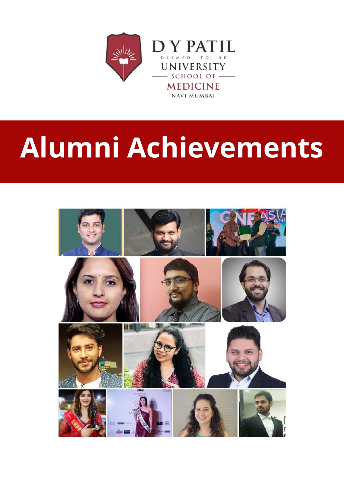

# **Alumni Achievements**

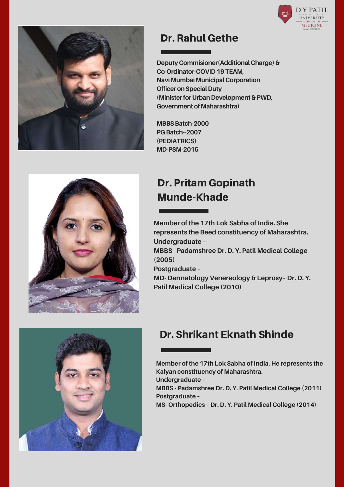



#### Dr. Rahul Gethe

**Deputy Commisioner(Additional Charge)& Co-Ordinator-COVID19TEAM, Navi Mumbai Municipal Corporation Officer on Special Duty (Minister for Urban Development & PWD, Government of Maharashtra)** 

**MBBSBatch-2000 PG Batch--2007 (PEDIATRICS) MD-PSM-2015**



Dr. Pritam Gopinath Munde-Khade

**Member of the 17th Lok Sabha of India. She represents the Beed constituency of Maharashtra. Undergraduate – MBBS - Padamshree Dr. D. Y. Patil Medical College (2005) Postgraduate – MD- Dermatology Venereology & Leprosy– Dr. D. Y. Patil Medical College (2010)**



## Dr. Shrikant Eknath Shinde

**Member of the 17th Lok Sabha of India. He represents the Kalyan constituency of Maharashtra. Undergraduate –**

**MBBS - Padamshree Dr. D. Y. Patil Medical College (2011) Postgraduate –**

**MS- Orthopedics – Dr. D. Y. Patil Medical College (2014)**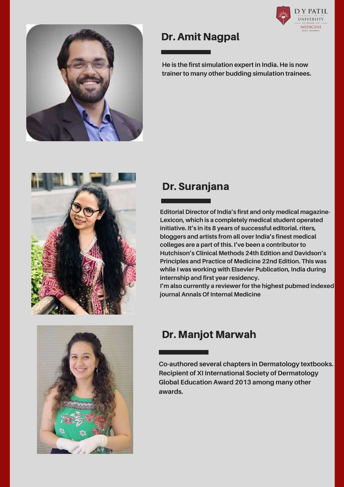



#### Dr. Amit Nagpal

**He is the first simulation expert in India. He is now trainer to many other budding simulation trainees.**

#### Dr. Suranjana

**Editorial Director of India's first and only medical magazine-Lexicon, which is a completely medical student operated initiative. It's in its 8 years of successful editorial. riters, bloggers and artists from all over India's finest medical colleges are a part of this. I've been a contributor to Hutchison's Clinical Methods 24th Edition and Davidson's Principles and Practice of Medicine 22nd Edition. This was while I was working with Elsevier Publication, India during internship and first year residency.**

**I'm also currently a reviewer for the highest pubmed indexed journal Annals Of Internal Medicine**



## Dr. Manjot Marwah

**Co-authored several chapters in Dermatology textbooks. Recipient of XI International Society of Dermatology Global Education Award 2013 among many other awards.**

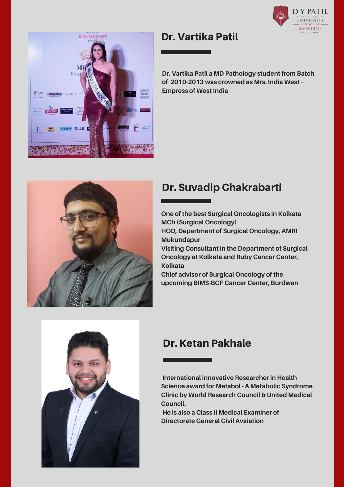



#### Dr. Vartika Patil

**Dr. Vartika Patil a MD Pathology student from Batch of 2010-2013 was crowned as Mrs. India West – Empress of West India**



## Dr. Suvadip Chakrabarti

**One of the best Surgical Oncologists in Kolkata MCh (Surgical Oncology)**

**HOD, Department of Surgical Oncology, AMRI Mukundapur**

**Visiting Consultant in the Department of Surgical Oncology at Kolkata and Ruby Cancer Center, Kolkata**

**Chief advisor of Surgical Oncology of the upcoming BIMS-BCF Cancer Center, Burdwan**



## Dr. Ketan Pakhale

**International innovative Researcher in Health Science award for Metabol - A Metabolic Syndrome Clinic by World Research Council & United Medical Council.**

**He is also a Class II Medical Examiner of Directorate General Civil Avaiation**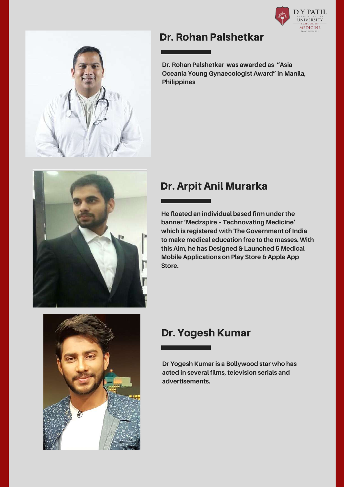



#### Dr. Rohan Palshetkar

**Dr. Rohan Palshetkar was awarded as "Asia Oceania Young Gynaecologist Award" in Manila, Philippines**



## Dr. Arpit Anil Murarka

**He floated an individual based firm under the banner 'Medzspire – Technovating Medicine' which is registered with The Government of India to make medical education free to the masses. With this Aim, he has Designed & Launched 5 Medical Mobile Applications on Play Store & Apple App Store.**



# Dr. Yogesh Kumar

**Dr Yogesh Kumar is a Bollywood star who has acted in several films, television serials and advertisements.**